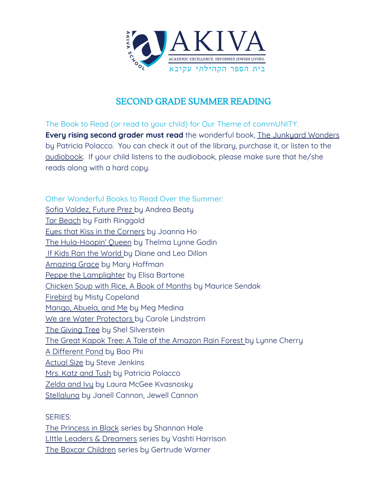

## SECOND GRADE SUMMER READING

The Book to Read (or read to your child) for Our Theme of commUNITY: **Every rising second grader must read** the wonderful book, The Junkyard Wonders by Patricia Polacco. You can check it out of the library, purchase it, or listen to the [audiobook](https://www.schooltube.com/media/Junkyard+Wonders/1_hu1geso2/128092591). If your child listens to the audiobook, please make sure that he/she reads along with a hard copy.

Other Wonderful Books to Read Over the Summer: Sofia Valdez, Future Prez by Andrea Beaty Tar Beach by Faith Ringgold Eyes that Kiss in the Corners by Joanna Ho The Hula-Hoopin' Queen by Thelma Lynne Godin If Kids Ran the World by Diane and Leo Dillon Amazing Grace by Mary Hoffman Peppe the Lamplighter by Elisa Bartone Chicken Soup with Rice, A Book of Months by Maurice Sendak Firebird by Misty Copeland Mango, Abuela, and Me by Meg Medina We are Water Protectors by Carole Lindstrom The Giving Tree by Shel Silverstein The Great Kapok Tree: A Tale of the Amazon Rain Forest by Lynne Cherry A Different Pond by Bao Phi Actual Size by Steve Jenkins Mrs. Katz and Tush by Patricia Polacco Zelda and Ivy by Laura McGee Kvasnosky Stellaluna by Janell Cannon, Jewell Cannon

SERIES:

The Princess in Black series by Shannan Hale LIttle Leaders & Dreamers series by Vashti Harrison The Boxcar Children series by Gertrude Warner